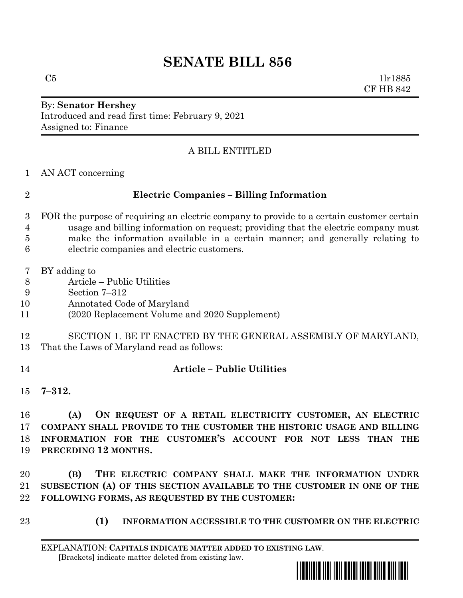# **SENATE BILL 856**

 $C5$  1lr1885 CF HB 842

#### By: **Senator Hershey** Introduced and read first time: February 9, 2021 Assigned to: Finance

# A BILL ENTITLED

AN ACT concerning

# **Electric Companies – Billing Information**

- FOR the purpose of requiring an electric company to provide to a certain customer certain usage and billing information on request; providing that the electric company must make the information available in a certain manner; and generally relating to electric companies and electric customers.
- BY adding to
- Article Public Utilities
- Section 7–312
- Annotated Code of Maryland
- (2020 Replacement Volume and 2020 Supplement)
- SECTION 1. BE IT ENACTED BY THE GENERAL ASSEMBLY OF MARYLAND, That the Laws of Maryland read as follows:
- 

# **Article – Public Utilities**

**7–312.**

 **(A) ON REQUEST OF A RETAIL ELECTRICITY CUSTOMER, AN ELECTRIC COMPANY SHALL PROVIDE TO THE CUSTOMER THE HISTORIC USAGE AND BILLING INFORMATION FOR THE CUSTOMER'S ACCOUNT FOR NOT LESS THAN THE PRECEDING 12 MONTHS.**

 **(B) THE ELECTRIC COMPANY SHALL MAKE THE INFORMATION UNDER SUBSECTION (A) OF THIS SECTION AVAILABLE TO THE CUSTOMER IN ONE OF THE FOLLOWING FORMS, AS REQUESTED BY THE CUSTOMER:**

- 
- **(1) INFORMATION ACCESSIBLE TO THE CUSTOMER ON THE ELECTRIC**